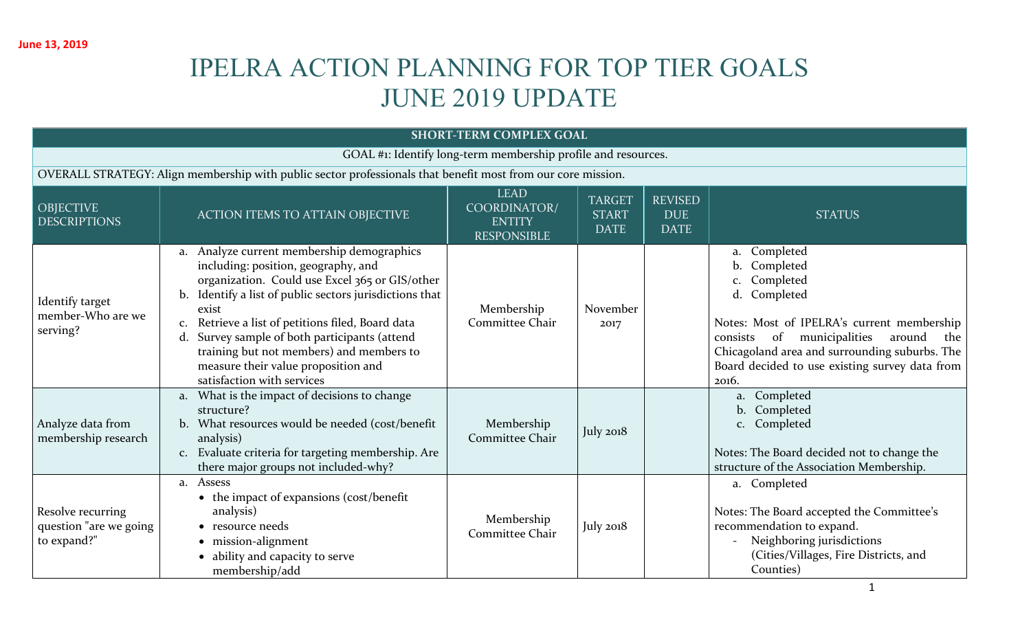# IPELRA ACTION PLANNING FOR TOP TIER GOALS JUNE 2019 UPDATE

| <b>SHORT-TERM COMPLEX GOAL</b>                                |                                                                                                                                                                                                                                                                                                                                                                                                                                               |                                                                    |                                              |                                             |                                                                                                                                                                                                                                                                       |  |  |  |  |
|---------------------------------------------------------------|-----------------------------------------------------------------------------------------------------------------------------------------------------------------------------------------------------------------------------------------------------------------------------------------------------------------------------------------------------------------------------------------------------------------------------------------------|--------------------------------------------------------------------|----------------------------------------------|---------------------------------------------|-----------------------------------------------------------------------------------------------------------------------------------------------------------------------------------------------------------------------------------------------------------------------|--|--|--|--|
| GOAL #1: Identify long-term membership profile and resources. |                                                                                                                                                                                                                                                                                                                                                                                                                                               |                                                                    |                                              |                                             |                                                                                                                                                                                                                                                                       |  |  |  |  |
|                                                               | OVERALL STRATEGY: Align membership with public sector professionals that benefit most from our core mission.                                                                                                                                                                                                                                                                                                                                  |                                                                    |                                              |                                             |                                                                                                                                                                                                                                                                       |  |  |  |  |
| <b>OBJECTIVE</b><br><b>DESCRIPTIONS</b>                       | <b>ACTION ITEMS TO ATTAIN OBJECTIVE</b>                                                                                                                                                                                                                                                                                                                                                                                                       | <b>LEAD</b><br>COORDINATOR/<br><b>ENTITY</b><br><b>RESPONSIBLE</b> | <b>TARGET</b><br><b>START</b><br><b>DATE</b> | <b>REVISED</b><br><b>DUE</b><br><b>DATE</b> | <b>STATUS</b>                                                                                                                                                                                                                                                         |  |  |  |  |
| Identify target<br>member-Who are we<br>serving?              | a. Analyze current membership demographics<br>including: position, geography, and<br>organization. Could use Excel 365 or GIS/other<br>Identify a list of public sectors jurisdictions that<br>$\mathbf{b}$ .<br>exist<br>Retrieve a list of petitions filed, Board data<br>Survey sample of both participants (attend<br>d.<br>training but not members) and members to<br>measure their value proposition and<br>satisfaction with services | Membership<br>Committee Chair                                      | November<br>2017                             |                                             | a. Completed<br>Completed<br>Completed<br>Completed<br>d.<br>Notes: Most of IPELRA's current membership<br>of municipalities<br>around<br>the<br>consists<br>Chicagoland area and surrounding suburbs. The<br>Board decided to use existing survey data from<br>2016. |  |  |  |  |
| Analyze data from<br>membership research                      | a. What is the impact of decisions to change<br>structure?<br>b. What resources would be needed (cost/benefit<br>analysis)<br>c. Evaluate criteria for targeting membership. Are<br>there major groups not included-why?                                                                                                                                                                                                                      | Membership<br>Committee Chair                                      | July 2018                                    |                                             | Completed<br>a.<br>Completed<br>$\mathbf{b}$ .<br>c. Completed<br>Notes: The Board decided not to change the<br>structure of the Association Membership.                                                                                                              |  |  |  |  |
| Resolve recurring<br>question "are we going<br>to expand?"    | a. Assess<br>• the impact of expansions (cost/benefit<br>analysis)<br>• resource needs<br>mission-alignment<br>ability and capacity to serve<br>membership/add                                                                                                                                                                                                                                                                                | Membership<br>Committee Chair                                      | July 2018                                    |                                             | a. Completed<br>Notes: The Board accepted the Committee's<br>recommendation to expand.<br>Neighboring jurisdictions<br>(Cities/Villages, Fire Districts, and<br>Counties)                                                                                             |  |  |  |  |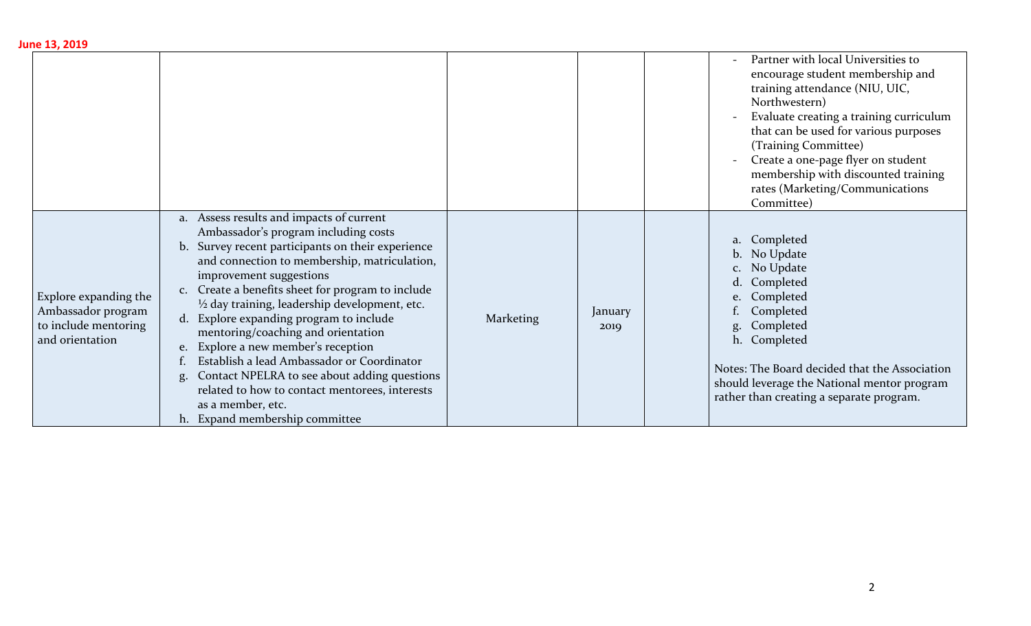| June 13, 2019                                                                          |                                                                                                                                                                                                                                                                                                                                                                                                                                                                                                                                                                                                                                                                                    |                  |                 |                                                                                                                                                                                                                                                                                                                                                                     |
|----------------------------------------------------------------------------------------|------------------------------------------------------------------------------------------------------------------------------------------------------------------------------------------------------------------------------------------------------------------------------------------------------------------------------------------------------------------------------------------------------------------------------------------------------------------------------------------------------------------------------------------------------------------------------------------------------------------------------------------------------------------------------------|------------------|-----------------|---------------------------------------------------------------------------------------------------------------------------------------------------------------------------------------------------------------------------------------------------------------------------------------------------------------------------------------------------------------------|
|                                                                                        |                                                                                                                                                                                                                                                                                                                                                                                                                                                                                                                                                                                                                                                                                    |                  |                 | Partner with local Universities to<br>encourage student membership and<br>training attendance (NIU, UIC,<br>Northwestern)<br>Evaluate creating a training curriculum<br>that can be used for various purposes<br>(Training Committee)<br>Create a one-page flyer on student<br>membership with discounted training<br>rates (Marketing/Communications<br>Committee) |
| Explore expanding the<br>Ambassador program<br>to include mentoring<br>and orientation | Assess results and impacts of current<br>a.<br>Ambassador's program including costs<br>Survey recent participants on their experience<br>b.<br>and connection to membership, matriculation,<br>improvement suggestions<br>Create a benefits sheet for program to include<br>C.<br>$\frac{1}{2}$ day training, leadership development, etc.<br>d. Explore expanding program to include<br>mentoring/coaching and orientation<br>Explore a new member's reception<br>e.<br>Establish a lead Ambassador or Coordinator<br>Contact NPELRA to see about adding questions<br>g.<br>related to how to contact mentorees, interests<br>as a member, etc.<br>h. Expand membership committee | <b>Marketing</b> | January<br>2019 | Completed<br>a.<br>No Update<br>$\mathbf{b}$ .<br>No Update<br>C <sub>1</sub><br>Completed<br>d.<br>Completed<br>e.<br>Completed<br>Completed<br>g.<br>Completed<br>h.<br>Notes: The Board decided that the Association<br>should leverage the National mentor program<br>rather than creating a separate program.                                                  |

2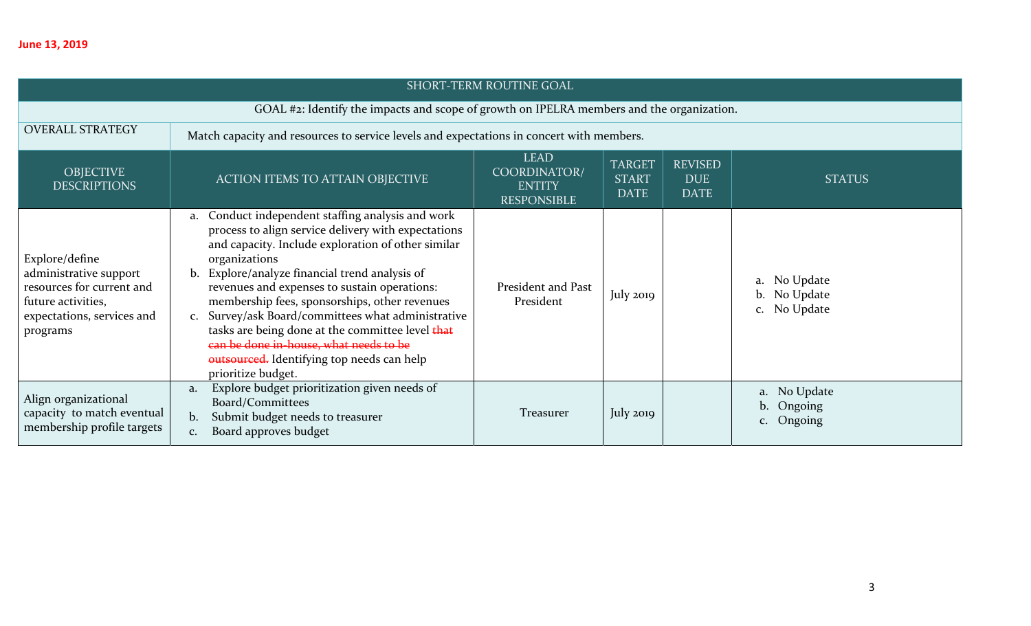| <b>SHORT-TERM ROUTINE GOAL</b>                                                                                                        |                                                                                                                                                                                                                                                                                                                                                                                                                                                                                                                                                                             |                                                                    |                                              |                                             |                                              |  |  |
|---------------------------------------------------------------------------------------------------------------------------------------|-----------------------------------------------------------------------------------------------------------------------------------------------------------------------------------------------------------------------------------------------------------------------------------------------------------------------------------------------------------------------------------------------------------------------------------------------------------------------------------------------------------------------------------------------------------------------------|--------------------------------------------------------------------|----------------------------------------------|---------------------------------------------|----------------------------------------------|--|--|
|                                                                                                                                       | GOAL #2: Identify the impacts and scope of growth on IPELRA members and the organization.                                                                                                                                                                                                                                                                                                                                                                                                                                                                                   |                                                                    |                                              |                                             |                                              |  |  |
| <b>OVERALL STRATEGY</b>                                                                                                               | Match capacity and resources to service levels and expectations in concert with members.                                                                                                                                                                                                                                                                                                                                                                                                                                                                                    |                                                                    |                                              |                                             |                                              |  |  |
| <b>OBJECTIVE</b><br><b>DESCRIPTIONS</b>                                                                                               | <b>ACTION ITEMS TO ATTAIN OBJECTIVE</b>                                                                                                                                                                                                                                                                                                                                                                                                                                                                                                                                     | <b>LEAD</b><br>COORDINATOR/<br><b>ENTITY</b><br><b>RESPONSIBLE</b> | <b>TARGET</b><br><b>START</b><br><b>DATE</b> | <b>REVISED</b><br><b>DUE</b><br><b>DATE</b> | <b>STATUS</b>                                |  |  |
| Explore/define<br>administrative support<br>resources for current and<br>future activities,<br>expectations, services and<br>programs | Conduct independent staffing analysis and work<br>a.<br>process to align service delivery with expectations<br>and capacity. Include exploration of other similar<br>organizations<br>b. Explore/analyze financial trend analysis of<br>revenues and expenses to sustain operations:<br>membership fees, sponsorships, other revenues<br>Survey/ask Board/committees what administrative<br>$C_{\bullet}$<br>tasks are being done at the committee level that<br>can be done in-house, what needs to be<br>outsourced. Identifying top needs can help<br>prioritize budget. | President and Past<br>President                                    | July $2019$                                  |                                             | a. No Update<br>b. No Update<br>c. No Update |  |  |
| Align organizational<br>capacity to match eventual<br>membership profile targets                                                      | Explore budget prioritization given needs of<br>a.<br>Board/Committees<br>Submit budget needs to treasurer<br>b.<br>Board approves budget<br>$C_{\bullet}$                                                                                                                                                                                                                                                                                                                                                                                                                  | Treasurer                                                          | July 2019                                    |                                             | a. No Update<br>b. Ongoing<br>c. Ongoing     |  |  |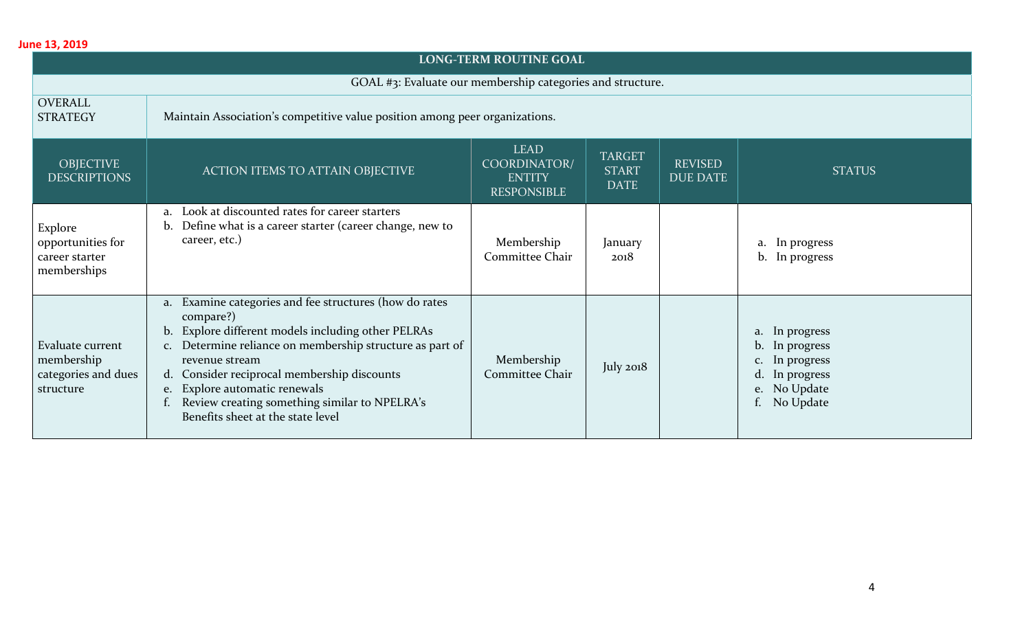| <b>LONG-TERM ROUTINE GOAL</b>                                      |                                                                                                                                                                                                                                                                                                                                                                               |                                                                    |                                              |                                   |                                                                                                      |  |  |  |
|--------------------------------------------------------------------|-------------------------------------------------------------------------------------------------------------------------------------------------------------------------------------------------------------------------------------------------------------------------------------------------------------------------------------------------------------------------------|--------------------------------------------------------------------|----------------------------------------------|-----------------------------------|------------------------------------------------------------------------------------------------------|--|--|--|
|                                                                    | GOAL #3: Evaluate our membership categories and structure.                                                                                                                                                                                                                                                                                                                    |                                                                    |                                              |                                   |                                                                                                      |  |  |  |
| <b>OVERALL</b><br><b>STRATEGY</b>                                  | Maintain Association's competitive value position among peer organizations.                                                                                                                                                                                                                                                                                                   |                                                                    |                                              |                                   |                                                                                                      |  |  |  |
| <b>OBJECTIVE</b><br><b>DESCRIPTIONS</b>                            | <b>ACTION ITEMS TO ATTAIN OBJECTIVE</b>                                                                                                                                                                                                                                                                                                                                       | <b>LEAD</b><br>COORDINATOR/<br><b>ENTITY</b><br><b>RESPONSIBLE</b> | <b>TARGET</b><br><b>START</b><br><b>DATE</b> | <b>REVISED</b><br><b>DUE DATE</b> | <b>STATUS</b>                                                                                        |  |  |  |
| Explore<br>opportunities for<br>career starter<br>memberships      | a. Look at discounted rates for career starters<br>Define what is a career starter (career change, new to<br>b.<br>career, etc.)                                                                                                                                                                                                                                              | Membership<br>Committee Chair                                      | January<br>2018                              |                                   | a. In progress<br>b. In progress                                                                     |  |  |  |
| Evaluate current<br>membership<br>categories and dues<br>structure | a. Examine categories and fee structures (how do rates<br>compare?)<br>b. Explore different models including other PELRAs<br>c. Determine reliance on membership structure as part of<br>revenue stream<br>d. Consider reciprocal membership discounts<br>e. Explore automatic renewals<br>Review creating something similar to NPELRA's<br>Benefits sheet at the state level | Membership<br>Committee Chair                                      | July 2018                                    |                                   | a. In progress<br>b. In progress<br>c. In progress<br>d. In progress<br>e. No Update<br>f. No Update |  |  |  |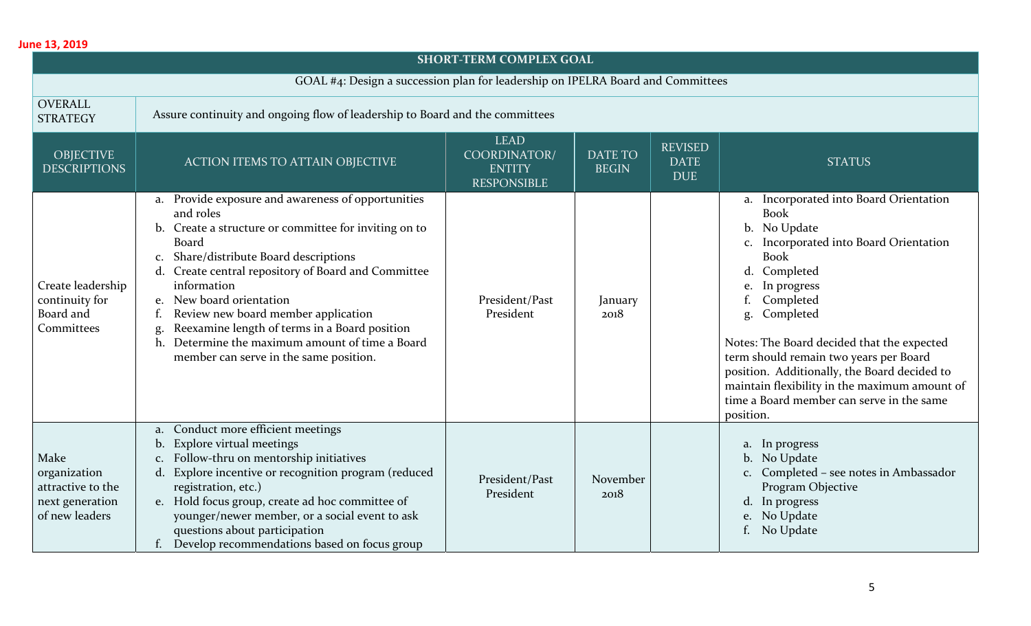| <b>SHORT-TERM COMPLEX GOAL</b>                                                 |                                                                                                                                                                                                                                                                                                                                                                                                                                                                                      |                                                                    |                                |                                             |                                                                                                                                                                                                                                                                                                                                                                                                                                                                    |  |  |  |  |
|--------------------------------------------------------------------------------|--------------------------------------------------------------------------------------------------------------------------------------------------------------------------------------------------------------------------------------------------------------------------------------------------------------------------------------------------------------------------------------------------------------------------------------------------------------------------------------|--------------------------------------------------------------------|--------------------------------|---------------------------------------------|--------------------------------------------------------------------------------------------------------------------------------------------------------------------------------------------------------------------------------------------------------------------------------------------------------------------------------------------------------------------------------------------------------------------------------------------------------------------|--|--|--|--|
|                                                                                | GOAL #4: Design a succession plan for leadership on IPELRA Board and Committees                                                                                                                                                                                                                                                                                                                                                                                                      |                                                                    |                                |                                             |                                                                                                                                                                                                                                                                                                                                                                                                                                                                    |  |  |  |  |
| <b>OVERALL</b><br><b>STRATEGY</b>                                              | Assure continuity and ongoing flow of leadership to Board and the committees                                                                                                                                                                                                                                                                                                                                                                                                         |                                                                    |                                |                                             |                                                                                                                                                                                                                                                                                                                                                                                                                                                                    |  |  |  |  |
| <b>OBJECTIVE</b><br><b>DESCRIPTIONS</b>                                        | <b>ACTION ITEMS TO ATTAIN OBJECTIVE</b>                                                                                                                                                                                                                                                                                                                                                                                                                                              | <b>LEAD</b><br>COORDINATOR/<br><b>ENTITY</b><br><b>RESPONSIBLE</b> | <b>DATE TO</b><br><b>BEGIN</b> | <b>REVISED</b><br><b>DATE</b><br><b>DUE</b> | <b>STATUS</b>                                                                                                                                                                                                                                                                                                                                                                                                                                                      |  |  |  |  |
| Create leadership<br>continuity for<br>Board and<br>Committees                 | a. Provide exposure and awareness of opportunities<br>and roles<br>b. Create a structure or committee for inviting on to<br>Board<br>Share/distribute Board descriptions<br>C.<br>d. Create central repository of Board and Committee<br>information<br>e. New board orientation<br>Review new board member application<br>f.<br>Reexamine length of terms in a Board position<br>g.<br>Determine the maximum amount of time a Board<br>h.<br>member can serve in the same position. | President/Past<br>President                                        | January<br>2018                |                                             | a. Incorporated into Board Orientation<br><b>Book</b><br>No Update<br>b.<br>Incorporated into Board Orientation<br><b>Book</b><br>Completed<br>$\mathbf d$<br>In progress<br>e.<br>Completed<br>Completed<br>g.<br>Notes: The Board decided that the expected<br>term should remain two years per Board<br>position. Additionally, the Board decided to<br>maintain flexibility in the maximum amount of<br>time a Board member can serve in the same<br>position. |  |  |  |  |
| Make<br>organization<br>attractive to the<br>next generation<br>of new leaders | Conduct more efficient meetings<br>a.<br>b. Explore virtual meetings<br>Follow-thru on mentorship initiatives<br>d. Explore incentive or recognition program (reduced<br>registration, etc.)<br>e. Hold focus group, create ad hoc committee of<br>younger/newer member, or a social event to ask<br>questions about participation<br>Develop recommendations based on focus group                                                                                                   | President/Past<br>President                                        | November<br>2018               |                                             | a. In progress<br>b. No Update<br>c. Completed - see notes in Ambassador<br>Program Objective<br>d. In progress<br>No Update<br>e.<br>No Update                                                                                                                                                                                                                                                                                                                    |  |  |  |  |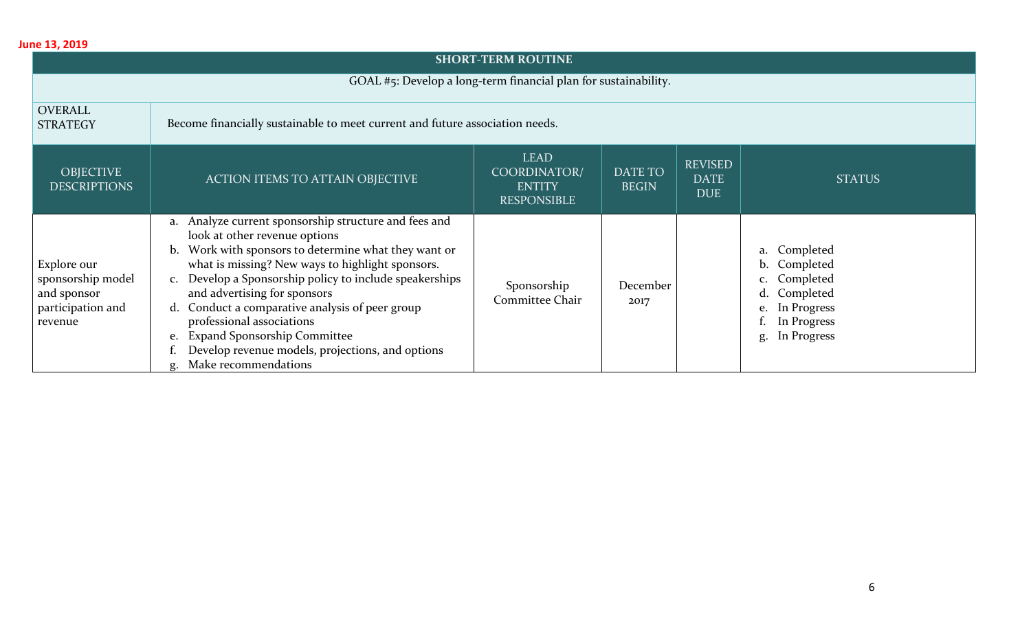| June 13, 2019                                                                   |                                                                                                                                                                                                                                                                                                                                                                                                                                                                                                                                     |                                                                    |                                |                                             |                                                                                                                       |  |  |  |  |
|---------------------------------------------------------------------------------|-------------------------------------------------------------------------------------------------------------------------------------------------------------------------------------------------------------------------------------------------------------------------------------------------------------------------------------------------------------------------------------------------------------------------------------------------------------------------------------------------------------------------------------|--------------------------------------------------------------------|--------------------------------|---------------------------------------------|-----------------------------------------------------------------------------------------------------------------------|--|--|--|--|
|                                                                                 | <b>SHORT-TERM ROUTINE</b>                                                                                                                                                                                                                                                                                                                                                                                                                                                                                                           |                                                                    |                                |                                             |                                                                                                                       |  |  |  |  |
|                                                                                 | GOAL #5: Develop a long-term financial plan for sustainability.                                                                                                                                                                                                                                                                                                                                                                                                                                                                     |                                                                    |                                |                                             |                                                                                                                       |  |  |  |  |
| <b>OVERALL</b><br><b>STRATEGY</b>                                               | Become financially sustainable to meet current and future association needs.                                                                                                                                                                                                                                                                                                                                                                                                                                                        |                                                                    |                                |                                             |                                                                                                                       |  |  |  |  |
| <b>OBJECTIVE</b><br><b>DESCRIPTIONS</b>                                         | <b>ACTION ITEMS TO ATTAIN OBJECTIVE</b>                                                                                                                                                                                                                                                                                                                                                                                                                                                                                             | <b>LEAD</b><br>COORDINATOR/<br><b>ENTITY</b><br><b>RESPONSIBLE</b> | <b>DATE TO</b><br><b>BEGIN</b> | <b>REVISED</b><br><b>DATE</b><br><b>DUE</b> | <b>STATUS</b>                                                                                                         |  |  |  |  |
| Explore our<br>sponsorship model<br>and sponsor<br>participation and<br>revenue | Analyze current sponsorship structure and fees and<br>a.<br>look at other revenue options<br>Work with sponsors to determine what they want or<br>b.<br>what is missing? New ways to highlight sponsors.<br>Develop a Sponsorship policy to include speakerships<br>$C_{\bullet}$<br>and advertising for sponsors<br>Conduct a comparative analysis of peer group<br>d.<br>professional associations<br><b>Expand Sponsorship Committee</b><br>e.<br>Develop revenue models, projections, and options<br>Make recommendations<br>g. | Sponsorship<br>Committee Chair                                     | December<br>2017               |                                             | a. Completed<br>b. Completed<br>c. Completed<br>d. Completed<br>In Progress<br>e.<br>In Progress<br>In Progress<br>g. |  |  |  |  |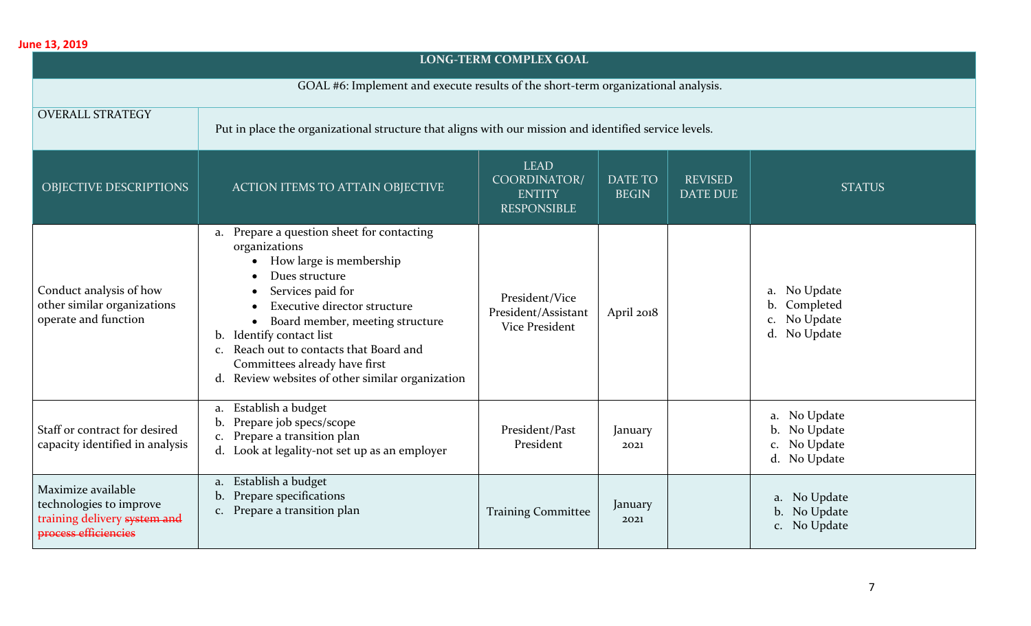| <b>LONG-TERM COMPLEX GOAL</b>                                                                         |                                                                                                                                                                                                                                                                                                                                                                     |                                                                    |                                |                                   |                                                                       |  |  |
|-------------------------------------------------------------------------------------------------------|---------------------------------------------------------------------------------------------------------------------------------------------------------------------------------------------------------------------------------------------------------------------------------------------------------------------------------------------------------------------|--------------------------------------------------------------------|--------------------------------|-----------------------------------|-----------------------------------------------------------------------|--|--|
|                                                                                                       | GOAL #6: Implement and execute results of the short-term organizational analysis.                                                                                                                                                                                                                                                                                   |                                                                    |                                |                                   |                                                                       |  |  |
| <b>OVERALL STRATEGY</b>                                                                               | Put in place the organizational structure that aligns with our mission and identified service levels.                                                                                                                                                                                                                                                               |                                                                    |                                |                                   |                                                                       |  |  |
| OBJECTIVE DESCRIPTIONS                                                                                | <b>ACTION ITEMS TO ATTAIN OBJECTIVE</b>                                                                                                                                                                                                                                                                                                                             | <b>LEAD</b><br>COORDINATOR/<br><b>ENTITY</b><br><b>RESPONSIBLE</b> | <b>DATE TO</b><br><b>BEGIN</b> | <b>REVISED</b><br><b>DATE DUE</b> | <b>STATUS</b>                                                         |  |  |
| Conduct analysis of how<br>other similar organizations<br>operate and function                        | a. Prepare a question sheet for contacting<br>organizations<br>How large is membership<br>Dues structure<br>Services paid for<br><b>Executive director structure</b><br>Board member, meeting structure<br>b. Identify contact list<br>c. Reach out to contacts that Board and<br>Committees already have first<br>d. Review websites of other similar organization | President/Vice<br>President/Assistant<br><b>Vice President</b>     | April 2018                     |                                   | No Update<br>a.<br>Completed<br>b.<br>No Update<br>C.<br>d. No Update |  |  |
| Staff or contract for desired<br>capacity identified in analysis                                      | a. Establish a budget<br>b. Prepare job specs/scope<br>c. Prepare a transition plan<br>d. Look at legality-not set up as an employer                                                                                                                                                                                                                                | President/Past<br>President                                        | January<br>2021                |                                   | a. No Update<br>b. No Update<br>c. No Update<br>d. No Update          |  |  |
| Maximize available<br>technologies to improve<br>training delivery system and<br>process efficiencies | a. Establish a budget<br>Prepare specifications<br>b.<br>c. Prepare a transition plan                                                                                                                                                                                                                                                                               | <b>Training Committee</b>                                          | January<br>2021                |                                   | a. No Update<br>b. No Update<br>No Update<br>C <sub>1</sub>           |  |  |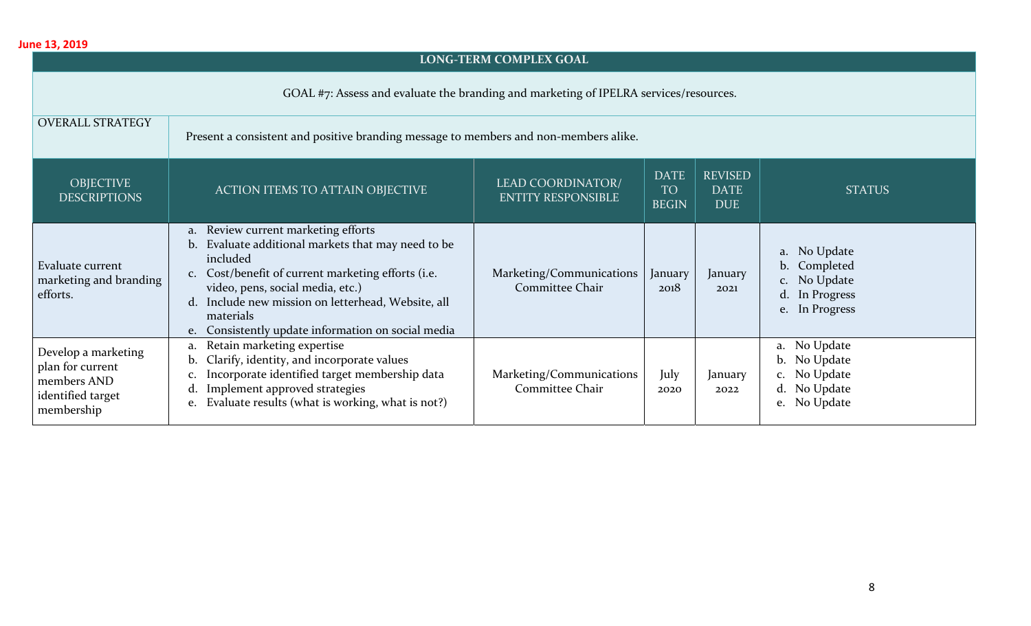#### **LONG‐TERM COMPLEX GOAL**

GOAL #7: Assess and evaluate the branding and marketing of IPELRA services/resources.

| <b>OVERALL STRATEGY</b>                                                                   | Present a consistent and positive branding message to members and non-members alike.                                                                                                                                                                                                                                                          |                                                       |                                          |                                             |                                                                                        |  |  |  |
|-------------------------------------------------------------------------------------------|-----------------------------------------------------------------------------------------------------------------------------------------------------------------------------------------------------------------------------------------------------------------------------------------------------------------------------------------------|-------------------------------------------------------|------------------------------------------|---------------------------------------------|----------------------------------------------------------------------------------------|--|--|--|
| <b>OBJECTIVE</b><br><b>DESCRIPTIONS</b>                                                   | <b>ACTION ITEMS TO ATTAIN OBJECTIVE</b>                                                                                                                                                                                                                                                                                                       | <b>LEAD COORDINATOR/</b><br><b>ENTITY RESPONSIBLE</b> | <b>DATE</b><br><b>TO</b><br><b>BEGIN</b> | <b>REVISED</b><br><b>DATE</b><br><b>DUE</b> | <b>STATUS</b>                                                                          |  |  |  |
| Evaluate current<br>marketing and branding<br>efforts.                                    | Review current marketing efforts<br>a.<br>Evaluate additional markets that may need to be<br>b.<br>included<br>Cost/benefit of current marketing efforts (i.e.<br>C <sub>1</sub><br>video, pens, social media, etc.)<br>d. Include new mission on letterhead, Website, all<br>materials<br>e. Consistently update information on social media | Marketing/Communications<br>Committee Chair           | January<br>2018                          | January<br>2021                             | a. No Update<br>b. Completed<br>c. No Update<br>In Progress<br>d.<br>In Progress<br>e. |  |  |  |
| Develop a marketing<br>plan for current<br>members AND<br>identified target<br>membership | Retain marketing expertise<br>a.<br>Clarify, identity, and incorporate values<br>b.<br>Incorporate identified target membership data<br>c.<br>Implement approved strategies<br>d.<br>Evaluate results (what is working, what is not?)<br>e.                                                                                                   | Marketing/Communications<br>Committee Chair           | July<br>2020                             | January<br>2022                             | No Update<br>a.<br>No Update<br>b.<br>c. No Update<br>d. No Update<br>No Update<br>e.  |  |  |  |